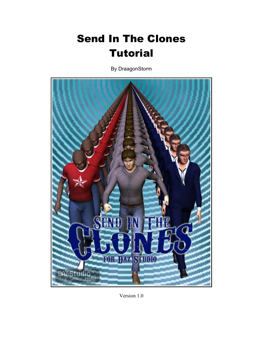## Send In The Clones **Tutorial**

By DraagonStorm



Version 1.0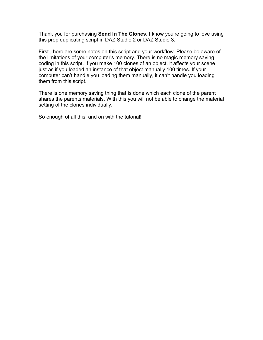Thank you for purchasing **Send In The Clones**. I know you're going to love using this prop duplicating script in DAZ Studio 2 or DAZ Studio 3.

First , here are some notes on this script and your workflow. Please be aware of the limitations of your computer's memory. There is no magic memory saving coding in this script. If you make 100 clones of an object, it affects your scene just as if you loaded an instance of that object manually 100 times. If your computer can't handle you loading them manually, it can't handle you loading them from this script.

There is one memory saving thing that is done which each clone of the parent shares the parents materials. With this you will not be able to change the material setting of the clones individually.

So enough of all this, and on with the tutorial!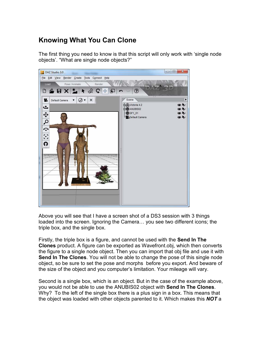## **Knowing What You Can Clone**

The first thing you need to know is that this script will only work with 'single node objects'. "What are single node objects?"



Above you will see that I have a screen shot of a DS3 session with 3 things loaded into the screen. Ignoring the Camera... you see two different icons; the triple box, and the single box.

Firstly, the triple box is a figure, and cannot be used with the **Send In The Clones** product. A figure can be exported as Wavefront.obj, which then converts the figure to a single node object. Then you can import that obj file and use it with **Send In The Clones**. You will not be able to change the pose of this single node object, so be sure to set the pose and morphs before you export. And beware of the size of the object and you computer's limitation. Your mileage will vary.

Second is a single box, which is an object. But in the case of the example above, you would not be able to use the ANUBIS02 object with **Send In The Clones**. Why? To the left of the single box there is a plus sign in a box. This means that the object was loaded with other objects parented to it. Which makes this *NOT* a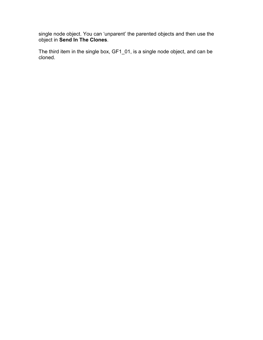single node object. You can 'unparent' the parented objects and then use the object in **Send In The Clones**.

The third item in the single box, GF1\_01, is a single node object, and can be cloned.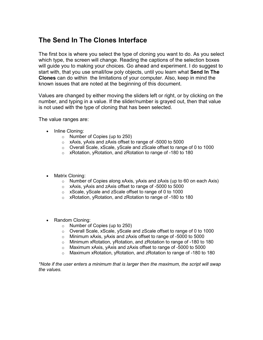## **The Send In The Clones Interface**

The first box is where you select the type of cloning you want to do. As you select which type, the screen will change. Reading the captions of the selection boxes will guide you to making your choices. Go ahead and experiment. I do suggest to start with, that you use small/low poly objects, until you learn what **Send In The Clones** can do within the limitations of your computer. Also, keep in mind the known issues that are noted at the beginning of this document.

Values are changed by either moving the sliders left or right, or by clicking on the number, and typing in a value. If the slider/number is grayed out, then that value is not used with the type of cloning that has been selected.

The value ranges are:

- Inline Cloning:
	- o Number of Copies (up to 250)
	- o xAxis, yAxis and zAxis offset to range of -5000 to 5000
	- o Overall Scale, xScale, yScale and zScale offset to range of 0 to 1000
	- o xRotation, yRotation, and zRotation to range of -180 to 180
- Matrix Cloning:
	- $\circ$  Number of Copies along xAxis, yAxis and zAxis (up to 60 on each Axis)
	- o xAxis, yAxis and zAxis offset to range of -5000 to 5000
	- o xScale, yScale and zScale offset to range of 0 to 1000
	- o xRotation, yRotation, and zRotation to range of -180 to 180
- Random Cloning:
	- o Number of Copies (up to 250)
	- o Overall Scale, xScale, yScale and zScale offset to range of 0 to 1000
	- o Minimum xAxis, yAxis and zAxis offset to range of -5000 to 5000
	- o Minimum xRotation, yRotation, and zRotation to range of -180 to 180
	- o Maximum xAxis, yAxis and zAxis offset to range of -5000 to 5000
	- o Maximum xRotation, yRotation, and zRotation to range of -180 to 180

*\*Note if the user enters a minimum that is larger then the maximum, the script will swap the values.*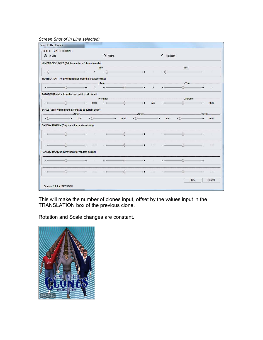## *Screen Shot of In Line selected:*

| Send In The Clones                                          |          |         |                |                                                                                                     |      |                                                                                                           |                         |            |             |               |             |
|-------------------------------------------------------------|----------|---------|----------------|-----------------------------------------------------------------------------------------------------|------|-----------------------------------------------------------------------------------------------------------|-------------------------|------------|-------------|---------------|-------------|
| SELECT TYPE OF CLONING                                      |          |         |                |                                                                                                     |      |                                                                                                           |                         |            |             |               |             |
| $\circledR$ In Line                                         |          |         |                | Matrix<br>$\bigcirc$                                                                                |      |                                                                                                           |                         | $O$ Random |             |               |             |
| NUMBER OF CLONES [Set the number of clones to make]         |          |         |                |                                                                                                     |      |                                                                                                           |                         |            |             |               |             |
| - 0-                                                        |          |         | $\blacksquare$ | -N/A-                                                                                               |      | $\bullet$ 0 $\bullet$ 0 $\bullet$ 0 $\bullet$ 0 $\bullet$ 0 $\bullet$ 0 $\bullet$ 0 $\bullet$ 0 $\bullet$ | - 900                   | $-0$       | -N/A-       |               |             |
| TRANSLATION [The pixel translation from the previous clone] |          |         |                |                                                                                                     |      |                                                                                                           |                         |            |             |               |             |
|                                                             |          |         |                | -yTran-                                                                                             |      |                                                                                                           |                         |            | -zTran-     |               |             |
|                                                             |          | $- - -$ | 3              |                                                                                                     |      | $ -$ 0 $+$                                                                                                | $\overline{\mathbf{3}}$ |            |             |               | 3           |
| ROTATION [Rotation from the zero point on all clones]       |          |         |                |                                                                                                     |      |                                                                                                           |                         |            |             |               |             |
|                                                             |          |         |                | -yRotation-                                                                                         |      |                                                                                                           |                         |            | -zRotation- |               |             |
| $\Omega$                                                    |          | $-1 +$  | 0.00           | $\sim$                                                                                              |      | $\overline{\phantom{a}}$ . The contract of $\overline{\phantom{a}}$                                       | 0.00                    | $-$        |             | $\rightarrow$ | 0.00        |
| SCALE (*Zero value means no change to current scale)        | -xScale- |         |                |                                                                                                     |      | -yScale-                                                                                                  |                         |            |             | -zScale-      |             |
| - 0-                                                        |          | 0.00    |                | $-$ (i) $   +$                                                                                      | 0.00 | - 11)                                                                                                     | $\sim$                  | 0.00       | $-$ () $-$  | ٠             | 0.00        |
|                                                             |          |         |                |                                                                                                     |      |                                                                                                           |                         |            |             |               |             |
| RANDOM MINIMUM [Only used for random cloning]               |          |         |                |                                                                                                     |      |                                                                                                           |                         |            |             |               |             |
|                                                             |          | $+$     | -71            |                                                                                                     | 6    | $+$                                                                                                       |                         |            | a           |               |             |
|                                                             |          | $+$     | G 00           | $-100$                                                                                              | a    | $+$                                                                                                       | 0.001                   | $-100$     | 4)          |               | <b>OCOG</b> |
| RANDOM MAXIMUM [Only used for random cloning]               |          |         |                |                                                                                                     |      |                                                                                                           |                         |            |             |               |             |
|                                                             |          | $\pm$   | m.             | $\overline{\phantom{a}}$ $\overline{\phantom{a}}$ $\overline{\phantom{a}}$ $\overline{\phantom{a}}$ |      | $\Rightarrow$                                                                                             | m.                      | $-$ 0 $-$  | ⊕           | ٠             | $\sim$      |
|                                                             |          |         |                |                                                                                                     |      |                                                                                                           |                         |            |             |               |             |
|                                                             |          |         |                |                                                                                                     |      |                                                                                                           | 项边位                     |            |             |               | 0.00        |
|                                                             |          | $-1$    | 0.00           | $\overline{\phantom{a}}$ . The contract of $\overline{\phantom{a}}$                                 |      |                                                                                                           |                         |            |             |               |             |
|                                                             |          |         |                |                                                                                                     |      |                                                                                                           |                         |            | Clone       |               | Cancel      |

This will make the number of clones input, offset by the values input in the TRANSLATION box of the previous clone.

Rotation and Scale changes are constant.

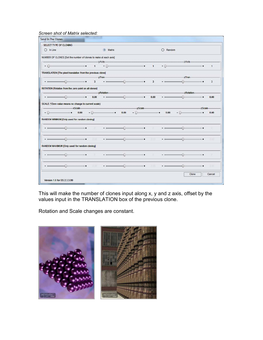*Screen shot of Matrix selected:* 

| SELECT TYPE OF CLONING                                                                         |                              |                         |                                                                                                                              |                           |                                                                                                                                                                                                                                                                                                                                                                                                                                                                                 |                         |                  |               |          |                      |
|------------------------------------------------------------------------------------------------|------------------------------|-------------------------|------------------------------------------------------------------------------------------------------------------------------|---------------------------|---------------------------------------------------------------------------------------------------------------------------------------------------------------------------------------------------------------------------------------------------------------------------------------------------------------------------------------------------------------------------------------------------------------------------------------------------------------------------------|-------------------------|------------------|---------------|----------|----------------------|
| $O$ In Line                                                                                    |                              |                         | Matrix                                                                                                                       |                           |                                                                                                                                                                                                                                                                                                                                                                                                                                                                                 |                         | $\bigcap$ Random |               |          |                      |
| NUMBER OF CLONES [Set the number of clones to make at each axis]                               |                              |                         |                                                                                                                              |                           |                                                                                                                                                                                                                                                                                                                                                                                                                                                                                 |                         |                  |               |          |                      |
|                                                                                                |                              |                         | -yAxis-                                                                                                                      |                           |                                                                                                                                                                                                                                                                                                                                                                                                                                                                                 |                         |                  | $-zAx$ is-    |          |                      |
| $-$ (i)=                                                                                       |                              | 1                       |                                                                                                                              |                           | $\bullet$ 0 $\bullet$ 0 $\bullet$ 0 $\bullet$ 0 $\bullet$ 0 $\bullet$ 0 $\bullet$ 0 $\bullet$ 0 $\bullet$ 0 $\bullet$ 0 $\bullet$ 0 $\bullet$ 0 $\bullet$ 0 $\bullet$ 0 $\bullet$ 0 $\bullet$ 0 $\bullet$ 0 $\bullet$ 0 $\bullet$ 0 $\bullet$ 0 $\bullet$ 0 $\bullet$ 0 $\bullet$ 0 $\bullet$ 0 $\bullet$ 0 $\bullet$ 0 $\bullet$ 0 $\bullet$ 0 $\bullet$ 0 $\bullet$ 0 $\bullet$ 0 $\bullet$                                                                                   |                         | $1 - 0$          |               |          | $\blacktriangleleft$ |
| TRANSLATION [The pixel translation from the previous clone]                                    |                              |                         |                                                                                                                              |                           |                                                                                                                                                                                                                                                                                                                                                                                                                                                                                 |                         |                  |               |          |                      |
|                                                                                                |                              |                         | -yTran-                                                                                                                      |                           |                                                                                                                                                                                                                                                                                                                                                                                                                                                                                 |                         |                  | -zTran-       |          |                      |
|                                                                                                | $-1$                         | $\overline{\mathbf{3}}$ |                                                                                                                              |                           | $  0$                                                                                                                                                                                                                                                                                                                                                                                                                                                                           | $\overline{\mathbf{3}}$ |                  |               | $+$      | 3                    |
| ROTATION [Rotation from the zero point on all clones]                                          |                              |                         |                                                                                                                              |                           |                                                                                                                                                                                                                                                                                                                                                                                                                                                                                 |                         |                  |               |          |                      |
|                                                                                                |                              |                         | -yRotation-                                                                                                                  |                           |                                                                                                                                                                                                                                                                                                                                                                                                                                                                                 |                         |                  | -zRotation-   |          |                      |
| Ð.                                                                                             | $-1$                         | 0.00                    | $\overline{\phantom{a}}$ $\overline{\phantom{a}}$ $\overline{\phantom{a}}$ $\overline{\phantom{a}}$ $\overline{\phantom{a}}$ |                           | $-1$                                                                                                                                                                                                                                                                                                                                                                                                                                                                            | 0.00                    | $-$              |               | ٠        | 0.00                 |
| SCALE (*Zero value means no change to current scale)                                           |                              |                         |                                                                                                                              |                           |                                                                                                                                                                                                                                                                                                                                                                                                                                                                                 |                         |                  |               |          |                      |
|                                                                                                | -xScale-                     |                         |                                                                                                                              |                           | $-y$ Scale $-$                                                                                                                                                                                                                                                                                                                                                                                                                                                                  |                         |                  |               | -zScale- |                      |
| - 0-                                                                                           | 0.00<br>$\ddot{\phantom{1}}$ |                         | $-$ 0                                                                                                                        | 0.00                      | $-11$                                                                                                                                                                                                                                                                                                                                                                                                                                                                           | $\sim$                  | 0.00             | $-$ (i)       |          | 0.00                 |
|                                                                                                |                              |                         |                                                                                                                              |                           |                                                                                                                                                                                                                                                                                                                                                                                                                                                                                 |                         |                  |               |          |                      |
|                                                                                                |                              |                         |                                                                                                                              |                           |                                                                                                                                                                                                                                                                                                                                                                                                                                                                                 |                         |                  |               |          |                      |
|                                                                                                |                              |                         |                                                                                                                              |                           |                                                                                                                                                                                                                                                                                                                                                                                                                                                                                 |                         |                  |               |          |                      |
|                                                                                                | $+$                          | $-20$                   |                                                                                                                              | G.                        | $-1$                                                                                                                                                                                                                                                                                                                                                                                                                                                                            | $\overline{v}$          |                  | ⋒             |          | - 13                 |
|                                                                                                |                              |                         |                                                                                                                              |                           |                                                                                                                                                                                                                                                                                                                                                                                                                                                                                 |                         |                  |               |          |                      |
|                                                                                                |                              | G.001                   | $ -$                                                                                                                         | $\langle \hat{u} \rangle$ | $+$                                                                                                                                                                                                                                                                                                                                                                                                                                                                             | 0.001                   |                  | A             |          | mo                   |
|                                                                                                |                              |                         |                                                                                                                              |                           |                                                                                                                                                                                                                                                                                                                                                                                                                                                                                 |                         |                  |               |          |                      |
| RANDOM MINIMUM [Only used for random cloning]<br>RANDOM MAXIMUM [Only used for random cloning] |                              | - 181                   |                                                                                                                              |                           | $  +$                                                                                                                                                                                                                                                                                                                                                                                                                                                                           | ×.                      | $ -$             |               |          | 12                   |
|                                                                                                |                              |                         | $\overline{\phantom{a}}$ $\overline{\phantom{a}}$ $\overline{\phantom{a}}$                                                   |                           |                                                                                                                                                                                                                                                                                                                                                                                                                                                                                 |                         |                  | $\{ \cdot \}$ |          |                      |
|                                                                                                |                              |                         |                                                                                                                              |                           |                                                                                                                                                                                                                                                                                                                                                                                                                                                                                 |                         | $\frac{1}{2}$    | ∩             |          |                      |
|                                                                                                | $-$                          | 10.001                  |                                                                                                                              |                           | $\overline{\phantom{a}}$ $\overline{\phantom{a}}$ $\overline{\phantom{a}}$ $\overline{\phantom{a}}$ $\overline{\phantom{a}}$ $\overline{\phantom{a}}$ $\overline{\phantom{a}}$ $\overline{\phantom{a}}$ $\overline{\phantom{a}}$ $\overline{\phantom{a}}$ $\overline{\phantom{a}}$ $\overline{\phantom{a}}$ $\overline{\phantom{a}}$ $\overline{\phantom{a}}$ $\overline{\phantom{a}}$ $\overline{\phantom{a}}$ $\overline{\phantom{a}}$ $\overline{\phantom{a}}$ $\overline{\$ | 双边盘                     |                  |               |          | 0:00                 |
|                                                                                                |                              |                         |                                                                                                                              |                           |                                                                                                                                                                                                                                                                                                                                                                                                                                                                                 |                         |                  | Clone         |          | Cancel               |

This will make the number of clones input along x, y and z axis, offset by the values input in the TRANSLATION box of the previous clone.

Rotation and Scale changes are constant.

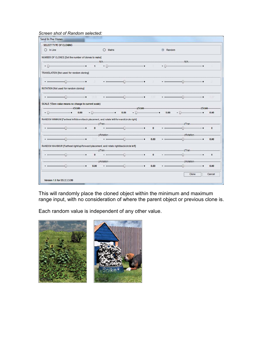*Screen shot of Random selected:*

| SELECT TYPE OF CLONING                                                                   |           |                   |             |                                                                                                                                                                                                                                                                                                                                                                                               |                           |              |              |                                          |          |          |
|------------------------------------------------------------------------------------------|-----------|-------------------|-------------|-----------------------------------------------------------------------------------------------------------------------------------------------------------------------------------------------------------------------------------------------------------------------------------------------------------------------------------------------------------------------------------------------|---------------------------|--------------|--------------|------------------------------------------|----------|----------|
| $\bigcap$ In Line                                                                        |           |                   | Matrix<br>⊖ |                                                                                                                                                                                                                                                                                                                                                                                               |                           |              | Random<br>GR |                                          |          |          |
| NUMBER OF CLONES [Set the number of clones to make]                                      |           |                   |             |                                                                                                                                                                                                                                                                                                                                                                                               |                           |              |              |                                          |          |          |
| - 11-                                                                                    |           | $\blacksquare$    |             | $\bullet$ 0 $\bullet$ 0 $\bullet$ 0 $\bullet$ 0 $\bullet$ 0 $\bullet$ 0 $\bullet$ 0 $\bullet$ 0 $\bullet$ 0 $\bullet$ 0 $\bullet$ 0 $\bullet$ 0 $\bullet$ 0 $\bullet$ 0 $\bullet$ 0 $\bullet$ 0 $\bullet$ 0 $\bullet$ 0 $\bullet$ 0 $\bullet$ 0 $\bullet$ 0 $\bullet$ 0 $\bullet$ 0 $\bullet$ 0 $\bullet$ 0 $\bullet$ 0 $\bullet$ 0 $\bullet$ 0 $\bullet$ 0 $\bullet$ 0 $\bullet$ 0 $\bullet$ | N/A                       |              | $-0$         | N/A                                      |          |          |
| TRANSLATION [Not used for random cloning]                                                |           |                   |             |                                                                                                                                                                                                                                                                                                                                                                                               |                           |              |              |                                          |          |          |
| $\overline{\phantom{a}}$ . The contract of $\overline{\phantom{a}}$                      |           | <b>STATISTICS</b> | $   0$      |                                                                                                                                                                                                                                                                                                                                                                                               | $-1$                      | 3            |              |                                          | $-1$     |          |
| ROTATION [Not used for random cloning]                                                   |           |                   |             |                                                                                                                                                                                                                                                                                                                                                                                               |                           |              |              |                                          |          |          |
|                                                                                          |           | $-700$            |             |                                                                                                                                                                                                                                                                                                                                                                                               |                           | 0.00         | $-$ 6 $-$    | $\Omega$                                 | $-1$     | 0.00     |
| SCALE (*Zero value means no change to current scale)                                     | -xScale-  |                   |             |                                                                                                                                                                                                                                                                                                                                                                                               |                           |              |              |                                          | -zScale- |          |
|                                                                                          |           |                   |             |                                                                                                                                                                                                                                                                                                                                                                                               |                           |              |              |                                          |          |          |
| - 0-                                                                                     | 0.00      |                   | $-$ 0       | 0.00                                                                                                                                                                                                                                                                                                                                                                                          | $-yScale$<br>$-11$        | $\sim$       | 0.00         | $-()$                                    |          | 0.00     |
| RANDOM MINIMUM [Farthest left/down/back placement, and rotate left/forward/circle right] |           | $\bf{0}$          |             |                                                                                                                                                                                                                                                                                                                                                                                               | $\bullet$ (i) $\bullet$ + | $\bf{0}$     |              | -zTran-                                  | $ +$     | $\bf{0}$ |
|                                                                                          |           |                   |             |                                                                                                                                                                                                                                                                                                                                                                                               |                           |              |              |                                          |          |          |
|                                                                                          | $\pm$     | G-001             |             | Æ.                                                                                                                                                                                                                                                                                                                                                                                            | $+$                       | 0.00         |              |                                          |          | 0.00     |
| RANDOM MAXIMUM [Farthest right/up/forward placement, and rotate right/back/circle left]  |           |                   |             |                                                                                                                                                                                                                                                                                                                                                                                               |                           |              |              |                                          |          |          |
|                                                                                          |           | $\bf{0}$          |             | $\sim$ $\sim$ $\sim$ $\sim$ $\sim$ $\sim$ $\sim$                                                                                                                                                                                                                                                                                                                                              |                           | $\mathbf{0}$ | $ -$         | -zTran-                                  |          | $\bf{0}$ |
|                                                                                          |           |                   |             |                                                                                                                                                                                                                                                                                                                                                                                               |                           |              |              | --------------------------zRotation----- |          |          |
|                                                                                          | $- - - -$ | 0.00              |             | $\overline{\phantom{a}}$ . The contract of $\overline{\phantom{a}}$                                                                                                                                                                                                                                                                                                                           |                           | 0.00         |              |                                          | $-0.1$   | 0.00     |

This will randomly place the cloned object within the minimum and maximum range input, with no consideration of where the parent object or previous clone is.

Each random value is independent of any other value.